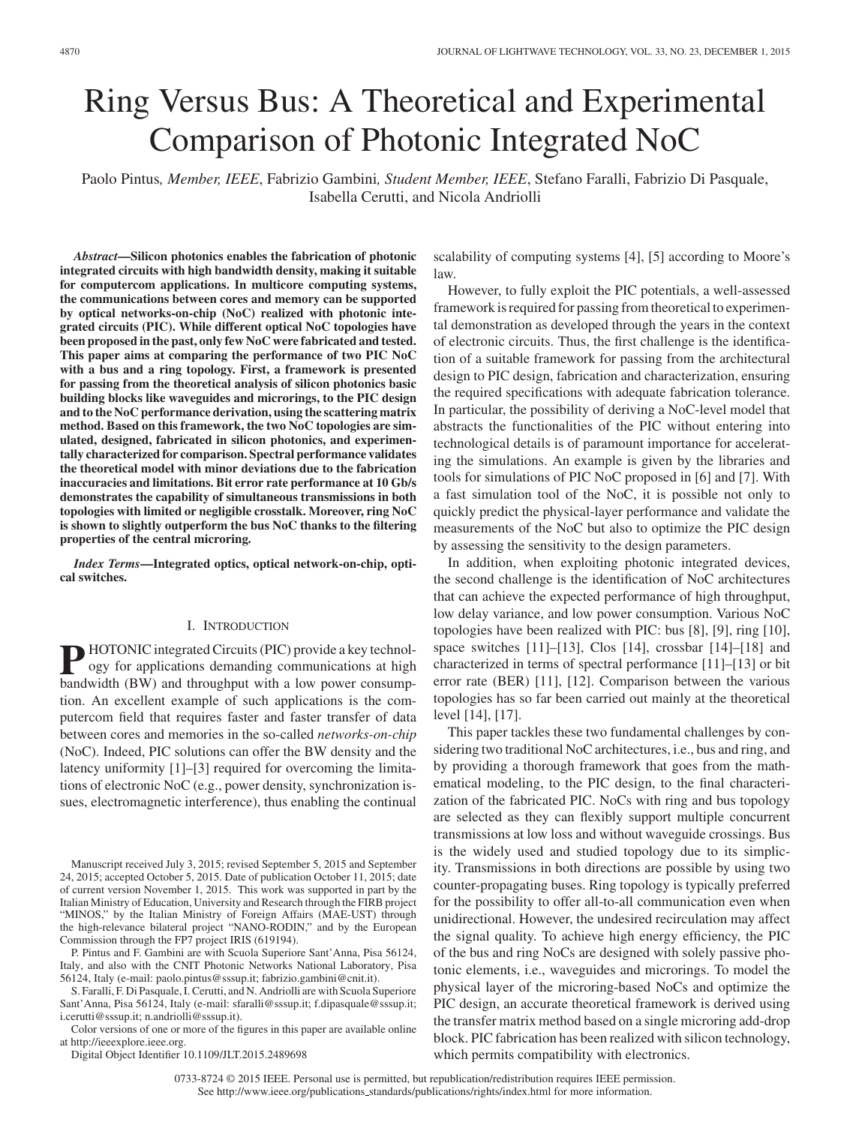# Ring Versus Bus: A Theoretical and Experimental Comparison of Photonic Integrated NoC

Paolo Pintus*, Member, IEEE*, Fabrizio Gambini*, Student Member, IEEE*, Stefano Faralli, Fabrizio Di Pasquale, Isabella Cerutti, and Nicola Andriolli

*Abstract***—Silicon photonics enables the fabrication of photonic integrated circuits with high bandwidth density, making it suitable for computercom applications. In multicore computing systems, the communications between cores and memory can be supported by optical networks-on-chip (NoC) realized with photonic integrated circuits (PIC). While different optical NoC topologies have been proposed in the past, only few NoC were fabricated and tested. This paper aims at comparing the performance of two PIC NoC with a bus and a ring topology. First, a framework is presented for passing from the theoretical analysis of silicon photonics basic building blocks like waveguides and microrings, to the PIC design and to the NoC performance derivation, using the scattering matrix method. Based on this framework, the two NoC topologies are simulated, designed, fabricated in silicon photonics, and experimentally characterized for comparison. Spectral performance validates the theoretical model with minor deviations due to the fabrication inaccuracies and limitations. Bit error rate performance at 10 Gb/s demonstrates the capability of simultaneous transmissions in both topologies with limited or negligible crosstalk. Moreover, ring NoC is shown to slightly outperform the bus NoC thanks to the filtering properties of the central microring.**

*Index Terms***—Integrated optics, optical network-on-chip, optical switches.**

## I. INTRODUCTION

**P** HOTONIC integrated Circuits (PIC) provide a key technology for applications demanding communications at high bandwidth (BW) and throughput with a low power consumption. An excellent example of such applications is the computercom field that requires faster and faster transfer of data between cores and memories in the so-called *networks-on-chip* (NoC). Indeed, PIC solutions can offer the BW density and the latency uniformity [1]–[3] required for overcoming the limitations of electronic NoC (e.g., power density, synchronization issues, electromagnetic interference), thus enabling the continual

Manuscript received July 3, 2015; revised September 5, 2015 and September 24, 2015; accepted October 5, 2015. Date of publication October 11, 2015; date of current version November 1, 2015. This work was supported in part by the Italian Ministry of Education, University and Research through the FIRB project "MINOS," by the Italian Ministry of Foreign Affairs (MAE-UST) through the high-relevance bilateral project "NANO-RODIN," and by the European Commission through the FP7 project IRIS (619194).

P. Pintus and F. Gambini are with Scuola Superiore Sant'Anna, Pisa 56124, Italy, and also with the CNIT Photonic Networks National Laboratory, Pisa 56124, Italy (e-mail: paolo.pintus@sssup.it; fabrizio.gambini@cnit.it).

S. Faralli, F. Di Pasquale, I. Cerutti, and N. Andriolli are with Scuola Superiore Sant'Anna, Pisa 56124, Italy (e-mail: sfaralli@sssup.it; f.dipasquale@sssup.it; i.cerutti@sssup.it; n.andriolli@sssup.it).

Color versions of one or more of the figures in this paper are available online at http://ieeexplore.ieee.org.

Digital Object Identifier 10.1109/JLT.2015.2489698

scalability of computing systems [4], [5] according to Moore's law.

However, to fully exploit the PIC potentials, a well-assessed framework is required for passing from theoretical to experimental demonstration as developed through the years in the context of electronic circuits. Thus, the first challenge is the identification of a suitable framework for passing from the architectural design to PIC design, fabrication and characterization, ensuring the required specifications with adequate fabrication tolerance. In particular, the possibility of deriving a NoC-level model that abstracts the functionalities of the PIC without entering into technological details is of paramount importance for accelerating the simulations. An example is given by the libraries and tools for simulations of PIC NoC proposed in [6] and [7]. With a fast simulation tool of the NoC, it is possible not only to quickly predict the physical-layer performance and validate the measurements of the NoC but also to optimize the PIC design by assessing the sensitivity to the design parameters.

In addition, when exploiting photonic integrated devices, the second challenge is the identification of NoC architectures that can achieve the expected performance of high throughput, low delay variance, and low power consumption. Various NoC topologies have been realized with PIC: bus [8], [9], ring [10], space switches [11]–[13], Clos [14], crossbar [14]–[18] and characterized in terms of spectral performance [11]–[13] or bit error rate (BER) [11], [12]. Comparison between the various topologies has so far been carried out mainly at the theoretical level [14], [17].

This paper tackles these two fundamental challenges by considering two traditional NoC architectures, i.e., bus and ring, and by providing a thorough framework that goes from the mathematical modeling, to the PIC design, to the final characterization of the fabricated PIC. NoCs with ring and bus topology are selected as they can flexibly support multiple concurrent transmissions at low loss and without waveguide crossings. Bus is the widely used and studied topology due to its simplicity. Transmissions in both directions are possible by using two counter-propagating buses. Ring topology is typically preferred for the possibility to offer all-to-all communication even when unidirectional. However, the undesired recirculation may affect the signal quality. To achieve high energy efficiency, the PIC of the bus and ring NoCs are designed with solely passive photonic elements, i.e., waveguides and microrings. To model the physical layer of the microring-based NoCs and optimize the PIC design, an accurate theoretical framework is derived using the transfer matrix method based on a single microring add-drop block. PIC fabrication has been realized with silicon technology, which permits compatibility with electronics.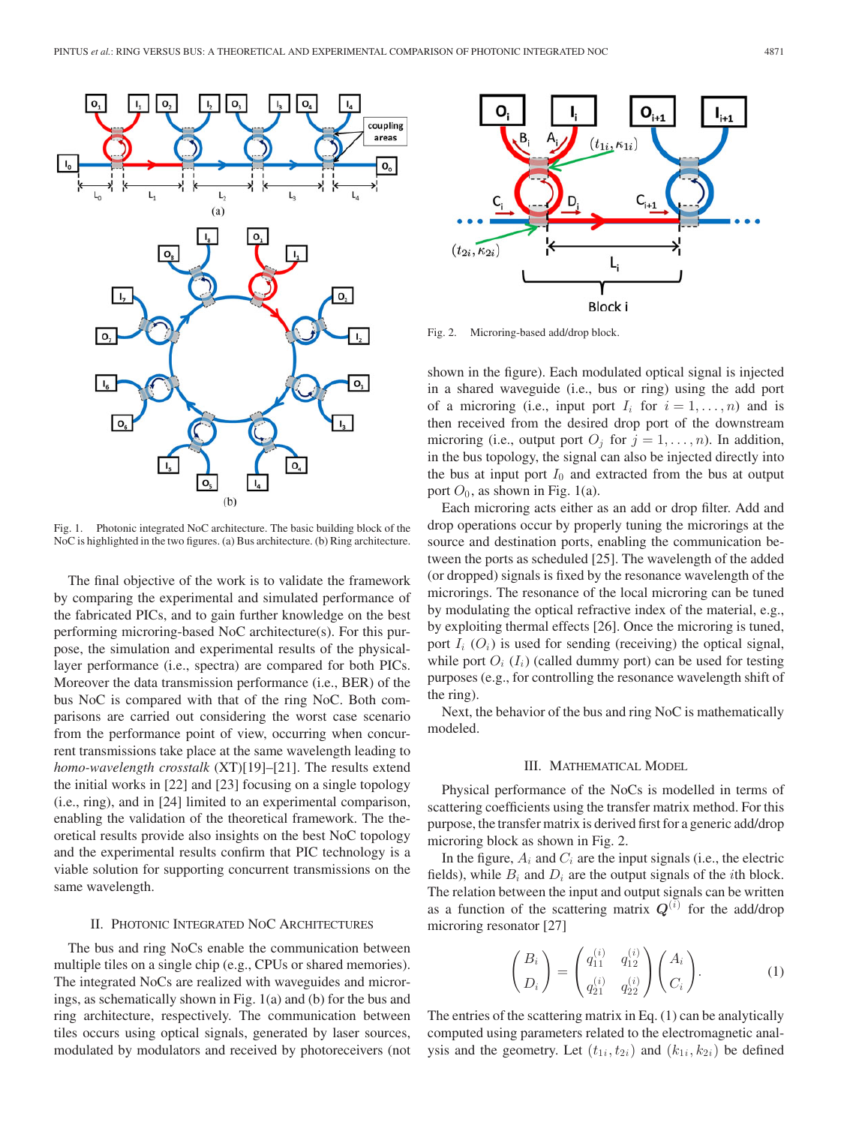

Fig. 1. Photonic integrated NoC architecture. The basic building block of the NoC is highlighted in the two figures. (a) Bus architecture. (b) Ring architecture.

The final objective of the work is to validate the framework by comparing the experimental and simulated performance of the fabricated PICs, and to gain further knowledge on the best performing microring-based NoC architecture(s). For this purpose, the simulation and experimental results of the physicallayer performance (i.e., spectra) are compared for both PICs. Moreover the data transmission performance (i.e., BER) of the bus NoC is compared with that of the ring NoC. Both comparisons are carried out considering the worst case scenario from the performance point of view, occurring when concurrent transmissions take place at the same wavelength leading to *homo-wavelength crosstalk* (XT)[19]–[21]. The results extend the initial works in [22] and [23] focusing on a single topology (i.e., ring), and in [24] limited to an experimental comparison, enabling the validation of the theoretical framework. The theoretical results provide also insights on the best NoC topology and the experimental results confirm that PIC technology is a viable solution for supporting concurrent transmissions on the same wavelength.

### II. PHOTONIC INTEGRATED NOC ARCHITECTURES

The bus and ring NoCs enable the communication between multiple tiles on a single chip (e.g., CPUs or shared memories). The integrated NoCs are realized with waveguides and microrings, as schematically shown in Fig. 1(a) and (b) for the bus and ring architecture, respectively. The communication between tiles occurs using optical signals, generated by laser sources, modulated by modulators and received by photoreceivers (not



Fig. 2. Microring-based add/drop block.

shown in the figure). Each modulated optical signal is injected in a shared waveguide (i.e., bus or ring) using the add port of a microring (i.e., input port  $I_i$  for  $i = 1, \ldots, n$ ) and is then received from the desired drop port of the downstream microring (i.e., output port  $O_i$  for  $j = 1, \ldots, n$ ). In addition, in the bus topology, the signal can also be injected directly into the bus at input port  $I_0$  and extracted from the bus at output port  $O_0$ , as shown in Fig. 1(a).

Each microring acts either as an add or drop filter. Add and drop operations occur by properly tuning the microrings at the source and destination ports, enabling the communication between the ports as scheduled [25]. The wavelength of the added (or dropped) signals is fixed by the resonance wavelength of the microrings. The resonance of the local microring can be tuned by modulating the optical refractive index of the material, e.g., by exploiting thermal effects [26]. Once the microring is tuned, port  $I_i$  ( $O_i$ ) is used for sending (receiving) the optical signal, while port  $O_i$  ( $I_i$ ) (called dummy port) can be used for testing purposes (e.g., for controlling the resonance wavelength shift of the ring).

Next, the behavior of the bus and ring NoC is mathematically modeled.

# III. MATHEMATICAL MODEL

Physical performance of the NoCs is modelled in terms of scattering coefficients using the transfer matrix method. For this purpose, the transfer matrix is derived first for a generic add/drop microring block as shown in Fig. 2.

In the figure,  $A_i$  and  $C_i$  are the input signals (i.e., the electric fields), while  $B_i$  and  $D_i$  are the output signals of the *i*th block. The relation between the input and output signals can be written as a function of the scattering matrix  $Q^{(i)}$  for the add/drop microring resonator [27]

$$
\begin{pmatrix} B_i \\ D_i \end{pmatrix} = \begin{pmatrix} q_{11}^{(i)} & q_{12}^{(i)} \\ q_{21}^{(i)} & q_{22}^{(i)} \end{pmatrix} \begin{pmatrix} A_i \\ C_i \end{pmatrix}.
$$
 (1)

The entries of the scattering matrix in Eq. (1) can be analytically computed using parameters related to the electromagnetic analysis and the geometry. Let  $(t_{1i}, t_{2i})$  and  $(k_{1i}, k_{2i})$  be defined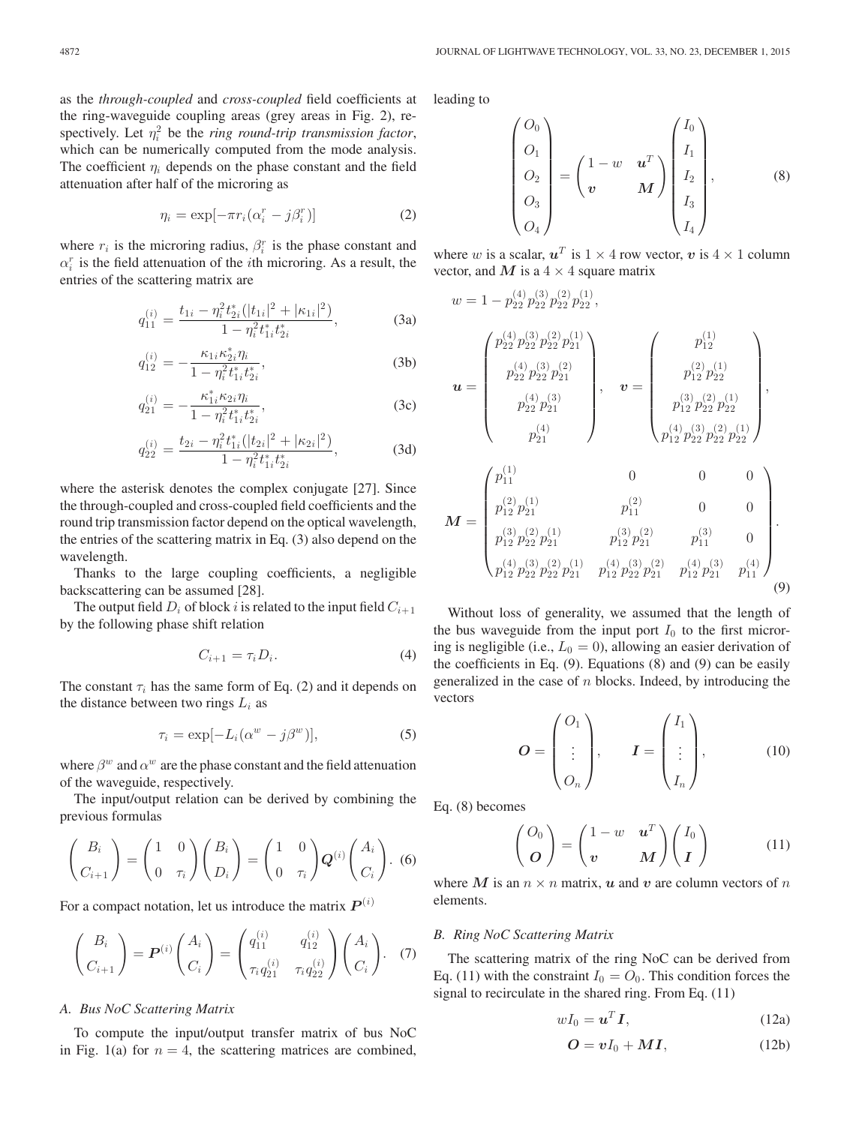as the *through-coupled* and *cross-coupled* field coefficients at the ring-waveguide coupling areas (grey areas in Fig. 2), respectively. Let  $\eta_i^2$  be the *ring round-trip transmission factor*, which can be numerically computed from the mode analysis. The coefficient  $\eta_i$  depends on the phase constant and the field attenuation after half of the microring as

$$
\eta_i = \exp[-\pi r_i(\alpha_i^r - j\beta_i^r)] \tag{2}
$$

where  $r_i$  is the microring radius,  $\beta_i^r$  is the phase constant and  $\alpha_i^r$  is the field attenuation of the *i*th microring. As a result, the entries of the scattering matrix are

$$
q_{11}^{(i)} = \frac{t_{1i} - \eta_i^2 t_{2i}^* (|t_{1i}|^2 + |\kappa_{1i}|^2)}{1 - \eta_i^2 t_{1i}^* t_{2i}^*},
$$
 (3a)

$$
q_{12}^{(i)} = -\frac{\kappa_{1i}\kappa_{2i}^* \eta_i}{1 - \eta_i^2 t_{1i}^* t_{2i}^*},\tag{3b}
$$

$$
q_{21}^{(i)} = -\frac{\kappa_{1i}^* \kappa_{2i} \eta_i}{1 - \eta_i^2 t_{1i}^* t_{2i}^*},\tag{3c}
$$

$$
q_{22}^{(i)} = \frac{t_{2i} - \eta_i^2 t_{1i}^* (|t_{2i}|^2 + |\kappa_{2i}|^2)}{1 - \eta_i^2 t_{1i}^* t_{2i}^*},
$$
 (3d)

where the asterisk denotes the complex conjugate [27]. Since the through-coupled and cross-coupled field coefficients and the round trip transmission factor depend on the optical wavelength, the entries of the scattering matrix in Eq. (3) also depend on the wavelength.

Thanks to the large coupling coefficients, a negligible backscattering can be assumed [28].

The output field  $D_i$  of block i is related to the input field  $C_{i+1}$ by the following phase shift relation

$$
C_{i+1} = \tau_i D_i. \tag{4}
$$

The constant  $\tau_i$  has the same form of Eq. (2) and it depends on the distance between two rings  $L_i$  as

$$
\tau_i = \exp[-L_i(\alpha^w - j\beta^w)],\tag{5}
$$

where  $\beta^w$  and  $\alpha^w$  are the phase constant and the field attenuation of the waveguide, respectively.

The input/output relation can be derived by combining the previous formulas

$$
\begin{pmatrix} B_i \\ C_{i+1} \end{pmatrix} = \begin{pmatrix} 1 & 0 \\ 0 & \tau_i \end{pmatrix} \begin{pmatrix} B_i \\ D_i \end{pmatrix} = \begin{pmatrix} 1 & 0 \\ 0 & \tau_i \end{pmatrix} \mathbf{Q}^{(i)} \begin{pmatrix} A_i \\ C_i \end{pmatrix}.
$$
 (6)

For a compact notation, let us introduce the matrix  $P^{(i)}$ 

$$
\begin{pmatrix} B_i \\ C_{i+1} \end{pmatrix} = \boldsymbol{P}^{(i)} \begin{pmatrix} A_i \\ C_i \end{pmatrix} = \begin{pmatrix} q_{11}^{(i)} & q_{12}^{(i)} \\ \tau_i q_{21}^{(i)} & \tau_i q_{22}^{(i)} \end{pmatrix} \begin{pmatrix} A_i \\ C_i \end{pmatrix}.
$$
 (7)

# *A. Bus NoC Scattering Matrix*

To compute the input/output transfer matrix of bus NoC in Fig. 1(a) for  $n = 4$ , the scattering matrices are combined, leading to

$$
\begin{pmatrix} O_0 \\ O_1 \\ O_2 \\ O_3 \\ O_4 \end{pmatrix} = \begin{pmatrix} 1 - w & u^T \\ v & M \end{pmatrix} \begin{pmatrix} I_0 \\ I_1 \\ I_2 \\ I_3 \\ I_4 \end{pmatrix}, \tag{8}
$$

where w is a scalar,  $u^T$  is  $1 \times 4$  row vector, v is  $4 \times 1$  column vector, and  $M$  is a  $4 \times 4$  square matrix

$$
w = 1 - p_{22}^{(4)} p_{22}^{(3)} p_{22}^{(2)} p_{21}^{(1)},
$$
  
\n
$$
u = \begin{pmatrix} p_{22}^{(4)} p_{22}^{(3)} p_{22}^{(2)} p_{21}^{(1)} \\ p_{22}^{(4)} p_{22}^{(3)} p_{21}^{(2)} \\ p_{21}^{(4)} \end{pmatrix}, \quad v = \begin{pmatrix} p_{12}^{(1)} \\ p_{12}^{(2)} p_{21}^{(1)} \\ p_{12}^{(3)} p_{22}^{(2)} p_{21}^{(1)} \\ p_{12}^{(4)} p_{22}^{(3)} p_{22}^{(2)} p_{22}^{(1)} \end{pmatrix},
$$
  
\n
$$
M = \begin{pmatrix} p_{11}^{(1)} & 0 & 0 & 0 \\ p_{12}^{(2)} p_{21}^{(1)} & p_{11}^{(2)} & 0 & 0 \\ p_{12}^{(3)} p_{21}^{(2)} p_{21}^{(1)} & p_{12}^{(3)} p_{21}^{(2)} & p_{11}^{(3)} & 0 \\ p_{12}^{(4)} p_{22}^{(3)} p_{21}^{(2)} & p_{12}^{(4)} p_{21}^{(3)} & p_{11}^{(4)} & 0 \\ p_{12}^{(4)} p_{22}^{(3)} p_{22}^{(2)} p_{21}^{(1)} & p_{12}^{(4)} p_{22}^{(3)} p_{21}^{(4)} & p_{11}^{(4)} \end{pmatrix}.
$$
  
\n(9)

Without loss of generality, we assumed that the length of the bus waveguide from the input port  $I_0$  to the first microring is negligible (i.e.,  $L_0 = 0$ ), allowing an easier derivation of the coefficients in Eq. (9). Equations (8) and (9) can be easily generalized in the case of  $n$  blocks. Indeed, by introducing the vectors

$$
O = \begin{pmatrix} O_1 \\ \vdots \\ O_n \end{pmatrix}, \qquad I = \begin{pmatrix} I_1 \\ \vdots \\ I_n \end{pmatrix}, \tag{10}
$$

Eq. (8) becomes

$$
\begin{pmatrix} O_0 \\ O \end{pmatrix} = \begin{pmatrix} 1 - w & \boldsymbol{u}^T \\ \boldsymbol{v} & M \end{pmatrix} \begin{pmatrix} I_0 \\ I \end{pmatrix} \tag{11}
$$

where *M* is an  $n \times n$  matrix, *u* and *v* are column vectors of *n* elements.

#### *B. Ring NoC Scattering Matrix*

The scattering matrix of the ring NoC can be derived from Eq. (11) with the constraint  $I_0 = O_0$ . This condition forces the signal to recirculate in the shared ring. From Eq. (11)

$$
wI_0 = \mathbf{u}^T \mathbf{I},\tag{12a}
$$

$$
O = vI_0 + MI, \tag{12b}
$$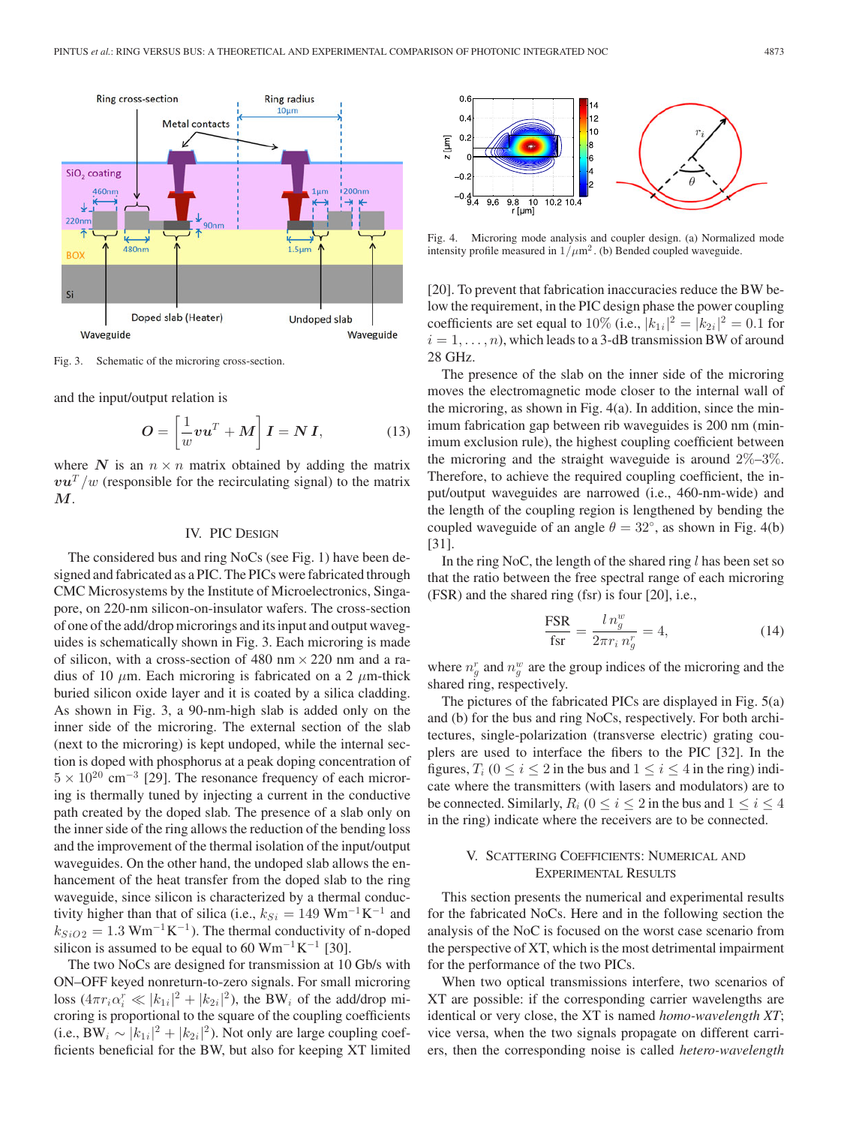

Fig. 3. Schematic of the microring cross-section.

and the input/output relation is

$$
O = \left[\frac{1}{w}vu^T + M\right]I = NI,
$$
 (13)

where N is an  $n \times n$  matrix obtained by adding the matrix  $v\mathbf{u}^T/w$  (responsible for the recirculating signal) to the matrix *M*.

## IV. PIC DESIGN

The considered bus and ring NoCs (see Fig. 1) have been designed and fabricated as a PIC. The PICs were fabricated through CMC Microsystems by the Institute of Microelectronics, Singapore, on 220-nm silicon-on-insulator wafers. The cross-section of one of the add/drop microrings and its input and output waveguides is schematically shown in Fig. 3. Each microring is made of silicon, with a cross-section of 480 nm  $\times$  220 nm and a radius of 10  $\mu$ m. Each microring is fabricated on a 2  $\mu$ m-thick buried silicon oxide layer and it is coated by a silica cladding. As shown in Fig. 3, a 90-nm-high slab is added only on the inner side of the microring. The external section of the slab (next to the microring) is kept undoped, while the internal section is doped with phosphorus at a peak doping concentration of  $5 \times 10^{20}$  cm<sup>-3</sup> [29]. The resonance frequency of each microring is thermally tuned by injecting a current in the conductive path created by the doped slab. The presence of a slab only on the inner side of the ring allows the reduction of the bending loss and the improvement of the thermal isolation of the input/output waveguides. On the other hand, the undoped slab allows the enhancement of the heat transfer from the doped slab to the ring waveguide, since silicon is characterized by a thermal conductivity higher than that of silica (i.e.,  $k_{Si} = 149$  Wm<sup>-1</sup>K<sup>-1</sup> and  $k_{SiO2} = 1.3$  Wm<sup>-1</sup>K<sup>-1</sup>). The thermal conductivity of n-doped silicon is assumed to be equal to 60 Wm<sup>-1</sup>K<sup>-1</sup> [30].

The two NoCs are designed for transmission at 10 Gb/s with ON–OFF keyed nonreturn-to-zero signals. For small microring loss  $(4\pi r_i \alpha_i^r \ll |k_{1i}|^2 + |k_{2i}|^2)$ , the BW<sub>i</sub> of the add/drop microring is proportional to the square of the coupling coefficients (i.e., BW<sub>i</sub> ~  $|k_{1i}|^2 + |k_{2i}|^2$ ). Not only are large coupling coefficients beneficial for the BW, but also for keeping XT limited



Fig. 4. Microring mode analysis and coupler design. (a) Normalized mode intensity profile measured in  $1/\mu m^2$ . (b) Bended coupled waveguide.

[20]. To prevent that fabrication inaccuracies reduce the BW below the requirement, in the PIC design phase the power coupling coefficients are set equal to 10% (i.e.,  $|k_{1i}|^2 = |k_{2i}|^2 = 0.1$  for  $i = 1, \ldots, n$ , which leads to a 3-dB transmission BW of around 28 GHz.

The presence of the slab on the inner side of the microring moves the electromagnetic mode closer to the internal wall of the microring, as shown in Fig. 4(a). In addition, since the minimum fabrication gap between rib waveguides is 200 nm (minimum exclusion rule), the highest coupling coefficient between the microring and the straight waveguide is around  $2\%-3\%$ . Therefore, to achieve the required coupling coefficient, the input/output waveguides are narrowed (i.e., 460-nm-wide) and the length of the coupling region is lengthened by bending the coupled waveguide of an angle  $\theta = 32^{\circ}$ , as shown in Fig. 4(b) [31].

In the ring NoC, the length of the shared ring  $l$  has been set so that the ratio between the free spectral range of each microring (FSR) and the shared ring (fsr) is four [20], i.e.,

$$
\frac{\text{FSR}}{\text{fsr}} = \frac{l n_g^w}{2\pi r_i n_g^r} = 4,\tag{14}
$$

where  $n_g^r$  and  $n_g^w$  are the group indices of the microring and the shared ring, respectively.

The pictures of the fabricated PICs are displayed in Fig. 5(a) and (b) for the bus and ring NoCs, respectively. For both architectures, single-polarization (transverse electric) grating couplers are used to interface the fibers to the PIC [32]. In the figures,  $T_i$  ( $0 \le i \le 2$  in the bus and  $1 \le i \le 4$  in the ring) indicate where the transmitters (with lasers and modulators) are to be connected. Similarly,  $R_i$  ( $0 \le i \le 2$  in the bus and  $1 \le i \le 4$ in the ring) indicate where the receivers are to be connected.

# V. SCATTERING COEFFICIENTS: NUMERICAL AND EXPERIMENTAL RESULTS

This section presents the numerical and experimental results for the fabricated NoCs. Here and in the following section the analysis of the NoC is focused on the worst case scenario from the perspective of XT, which is the most detrimental impairment for the performance of the two PICs.

When two optical transmissions interfere, two scenarios of XT are possible: if the corresponding carrier wavelengths are identical or very close, the XT is named *homo-wavelength XT*; vice versa, when the two signals propagate on different carriers, then the corresponding noise is called *hetero-wavelength*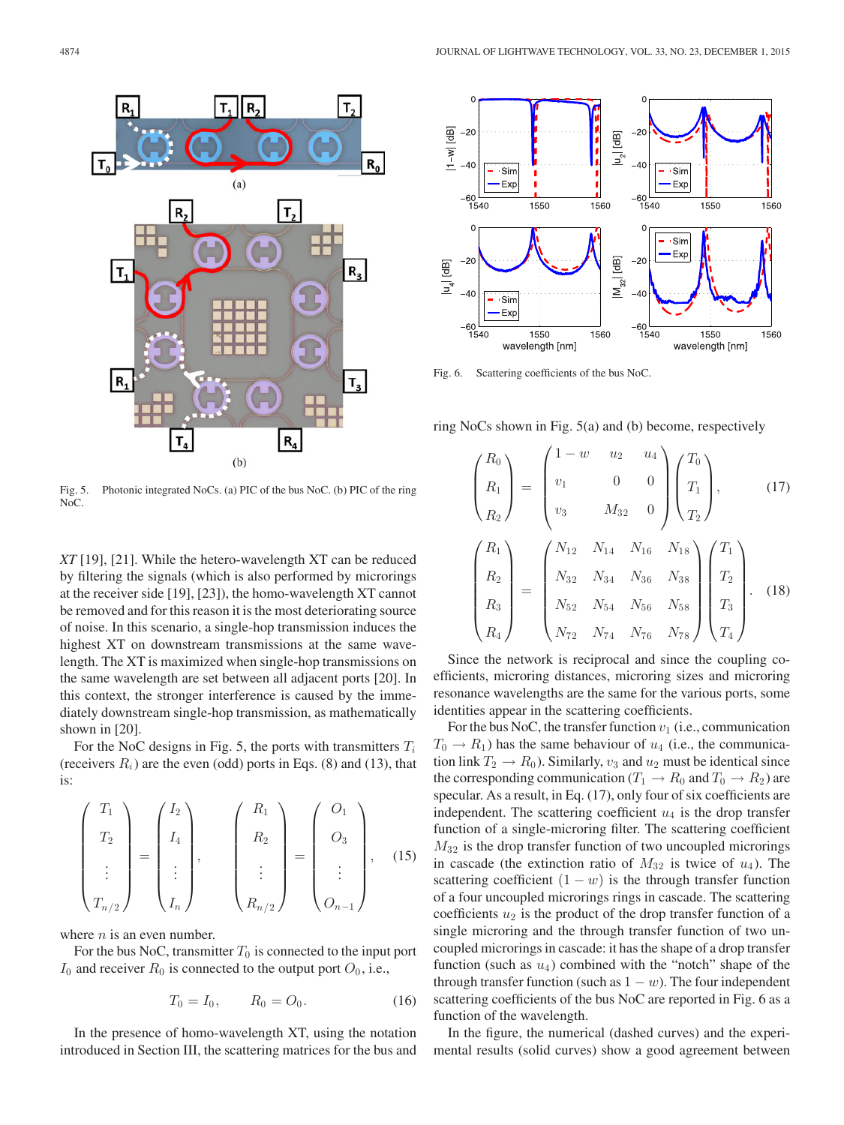

Fig. 5. Photonic integrated NoCs. (a) PIC of the bus NoC. (b) PIC of the ring NoC.

*XT* [19], [21]. While the hetero-wavelength XT can be reduced by filtering the signals (which is also performed by microrings at the receiver side [19], [23]), the homo-wavelength XT cannot be removed and for this reason it is the most deteriorating source of noise. In this scenario, a single-hop transmission induces the highest XT on downstream transmissions at the same wavelength. The XT is maximized when single-hop transmissions on the same wavelength are set between all adjacent ports [20]. In this context, the stronger interference is caused by the immediately downstream single-hop transmission, as mathematically shown in [20].

For the NoC designs in Fig. 5, the ports with transmitters  $T_i$ (receivers  $R_i$ ) are the even (odd) ports in Eqs. (8) and (13), that is:

$$
\begin{pmatrix} T_1 \\ T_2 \\ \vdots \\ T_{n/2} \end{pmatrix} = \begin{pmatrix} I_2 \\ I_4 \\ \vdots \\ I_n \end{pmatrix}, \qquad \begin{pmatrix} R_1 \\ R_2 \\ \vdots \\ R_{n/2} \end{pmatrix} = \begin{pmatrix} O_1 \\ O_3 \\ \vdots \\ O_{n-1} \end{pmatrix}, \quad (15)
$$

where  $n$  is an even number.

For the bus NoC, transmitter  $T_0$  is connected to the input port  $I_0$  and receiver  $R_0$  is connected to the output port  $O_0$ , i.e.,

$$
T_0 = I_0, \qquad R_0 = O_0. \tag{16}
$$

In the presence of homo-wavelength XT, using the notation introduced in Section III, the scattering matrices for the bus and



Fig. 6. Scattering coefficients of the bus NoC.

ring NoCs shown in Fig. 5(a) and (b) become, respectively

$$
\begin{pmatrix}\nR_0 \\
R_1 \\
R_2\n\end{pmatrix} = \begin{pmatrix}\n1-w & u_2 & u_4 \\
v_1 & 0 & 0 \\
v_3 & M_{32} & 0\n\end{pmatrix} \begin{pmatrix}\nT_0 \\
T_1 \\
T_2\n\end{pmatrix},
$$
\n(17)\n
$$
\begin{pmatrix}\nR_1 \\
R_2 \\
R_3 \\
R_3\n\end{pmatrix} = \begin{pmatrix}\nN_{12} & N_{14} & N_{16} & N_{18} \\
N_{32} & N_{34} & N_{36} & N_{38} \\
N_{52} & N_{54} & N_{56} & N_{58} \\
N_{72} & N_{74} & N_{76} & N_{78}\n\end{pmatrix} \begin{pmatrix}\nT_1 \\
T_2 \\
T_3 \\
T_4\n\end{pmatrix}.
$$
\n(18)

Since the network is reciprocal and since the coupling coefficients, microring distances, microring sizes and microring resonance wavelengths are the same for the various ports, some identities appear in the scattering coefficients.

For the bus NoC, the transfer function  $v_1$  (i.e., communication  $T_0 \rightarrow R_1$ ) has the same behaviour of  $u_4$  (i.e., the communication link  $T_2 \rightarrow R_0$ ). Similarly,  $v_3$  and  $u_2$  must be identical since the corresponding communication ( $T_1 \rightarrow R_0$  and  $T_0 \rightarrow R_2$ ) are specular. As a result, in Eq. (17), only four of six coefficients are independent. The scattering coefficient  $u_4$  is the drop transfer function of a single-microring filter. The scattering coefficient  $M_{32}$  is the drop transfer function of two uncoupled microrings in cascade (the extinction ratio of  $M_{32}$  is twice of  $u_4$ ). The scattering coefficient  $(1 - w)$  is the through transfer function of a four uncoupled microrings rings in cascade. The scattering coefficients  $u_2$  is the product of the drop transfer function of a single microring and the through transfer function of two uncoupled microrings in cascade: it has the shape of a drop transfer function (such as  $u_4$ ) combined with the "notch" shape of the through transfer function (such as  $1 - w$ ). The four independent scattering coefficients of the bus NoC are reported in Fig. 6 as a function of the wavelength.

In the figure, the numerical (dashed curves) and the experimental results (solid curves) show a good agreement between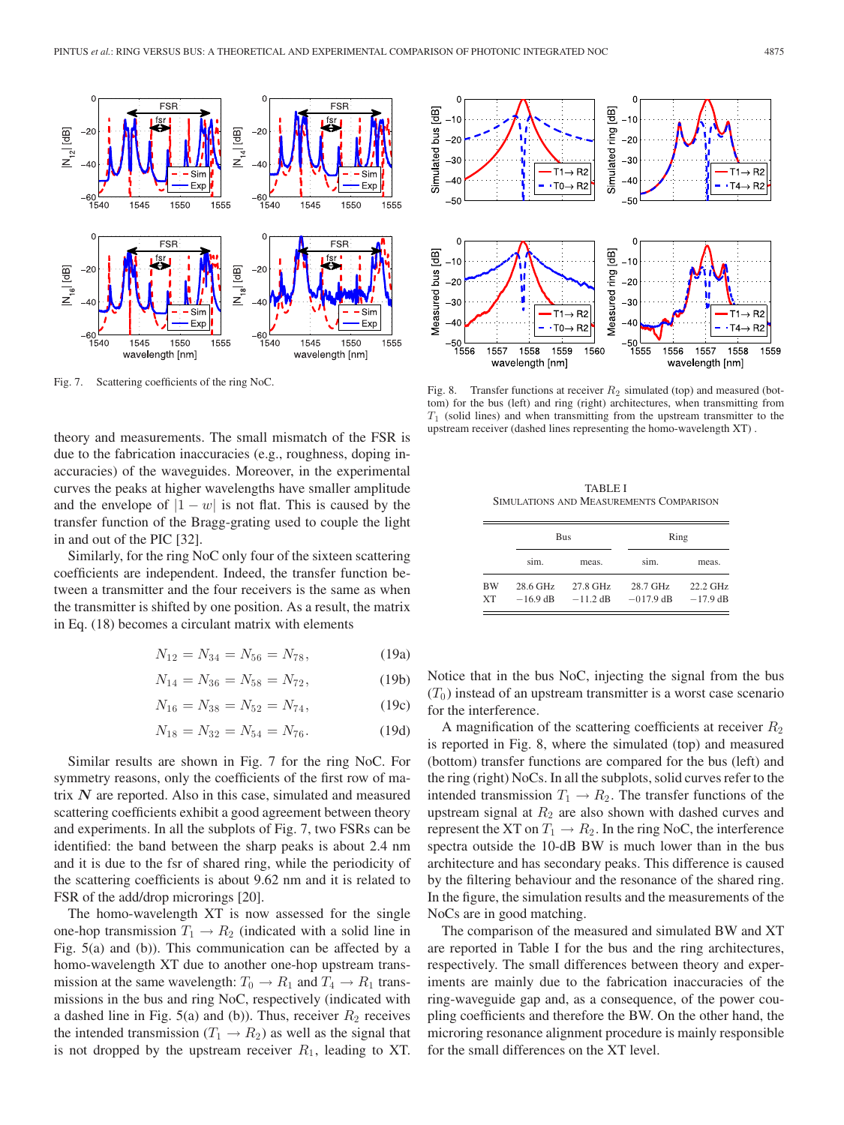

Fig. 7. Scattering coefficients of the ring NoC.

theory and measurements. The small mismatch of the FSR is due to the fabrication inaccuracies (e.g., roughness, doping inaccuracies) of the waveguides. Moreover, in the experimental curves the peaks at higher wavelengths have smaller amplitude and the envelope of  $|1 - w|$  is not flat. This is caused by the transfer function of the Bragg-grating used to couple the light in and out of the PIC [32].

Similarly, for the ring NoC only four of the sixteen scattering coefficients are independent. Indeed, the transfer function between a transmitter and the four receivers is the same as when the transmitter is shifted by one position. As a result, the matrix in Eq. (18) becomes a circulant matrix with elements

$$
N_{12} = N_{34} = N_{56} = N_{78},
$$
 (19a)

$$
N_{14} = N_{36} = N_{58} = N_{72}, \t\t(19b)
$$

$$
N_{16} = N_{38} = N_{52} = N_{74}, \t\t(19c)
$$

$$
N_{18} = N_{32} = N_{54} = N_{76}.
$$
 (19d)

Similar results are shown in Fig. 7 for the ring NoC. For symmetry reasons, only the coefficients of the first row of matrix *N* are reported. Also in this case, simulated and measured scattering coefficients exhibit a good agreement between theory and experiments. In all the subplots of Fig. 7, two FSRs can be identified: the band between the sharp peaks is about 2.4 nm and it is due to the fsr of shared ring, while the periodicity of the scattering coefficients is about 9.62 nm and it is related to FSR of the add/drop microrings [20].

The homo-wavelength XT is now assessed for the single one-hop transmission  $T_1 \rightarrow R_2$  (indicated with a solid line in Fig. 5(a) and (b)). This communication can be affected by a homo-wavelength XT due to another one-hop upstream transmission at the same wavelength:  $T_0 \rightarrow R_1$  and  $T_4 \rightarrow R_1$  transmissions in the bus and ring NoC, respectively (indicated with a dashed line in Fig. 5(a) and (b)). Thus, receiver  $R_2$  receives the intended transmission ( $T_1 \rightarrow R_2$ ) as well as the signal that is not dropped by the upstream receiver  $R_1$ , leading to XT.



Fig. 8. Transfer functions at receiver  $R_2$  simulated (top) and measured (bottom) for the bus (left) and ring (right) architectures, when transmitting from  $T_1$  (solid lines) and when transmitting from the upstream transmitter to the upstream receiver (dashed lines representing the homo-wavelength XT) .

TABLE I SIMULATIONS AND MEASUREMENTS COMPARISON

 $\overline{a}$ 

|          | Bus                    |                        | Ring                    |                        |
|----------|------------------------|------------------------|-------------------------|------------------------|
|          | sim.                   | meas.                  | sim.                    | meas.                  |
| BW<br>XТ | 28.6 GHz<br>$-16.9$ dB | 27.8 GHz<br>$-11.2$ dB | 28.7 GHz<br>$-017.9$ dB | 22.2 GHz<br>$-17.9$ dB |

Notice that in the bus NoC, injecting the signal from the bus  $(T_0)$  instead of an upstream transmitter is a worst case scenario for the interference.

A magnification of the scattering coefficients at receiver  $R_2$ is reported in Fig. 8, where the simulated (top) and measured (bottom) transfer functions are compared for the bus (left) and the ring (right) NoCs. In all the subplots, solid curves refer to the intended transmission  $T_1 \rightarrow R_2$ . The transfer functions of the upstream signal at  $R_2$  are also shown with dashed curves and represent the XT on  $T_1 \rightarrow R_2$ . In the ring NoC, the interference spectra outside the 10-dB BW is much lower than in the bus architecture and has secondary peaks. This difference is caused by the filtering behaviour and the resonance of the shared ring. In the figure, the simulation results and the measurements of the NoCs are in good matching.

The comparison of the measured and simulated BW and XT are reported in Table I for the bus and the ring architectures, respectively. The small differences between theory and experiments are mainly due to the fabrication inaccuracies of the ring-waveguide gap and, as a consequence, of the power coupling coefficients and therefore the BW. On the other hand, the microring resonance alignment procedure is mainly responsible for the small differences on the XT level.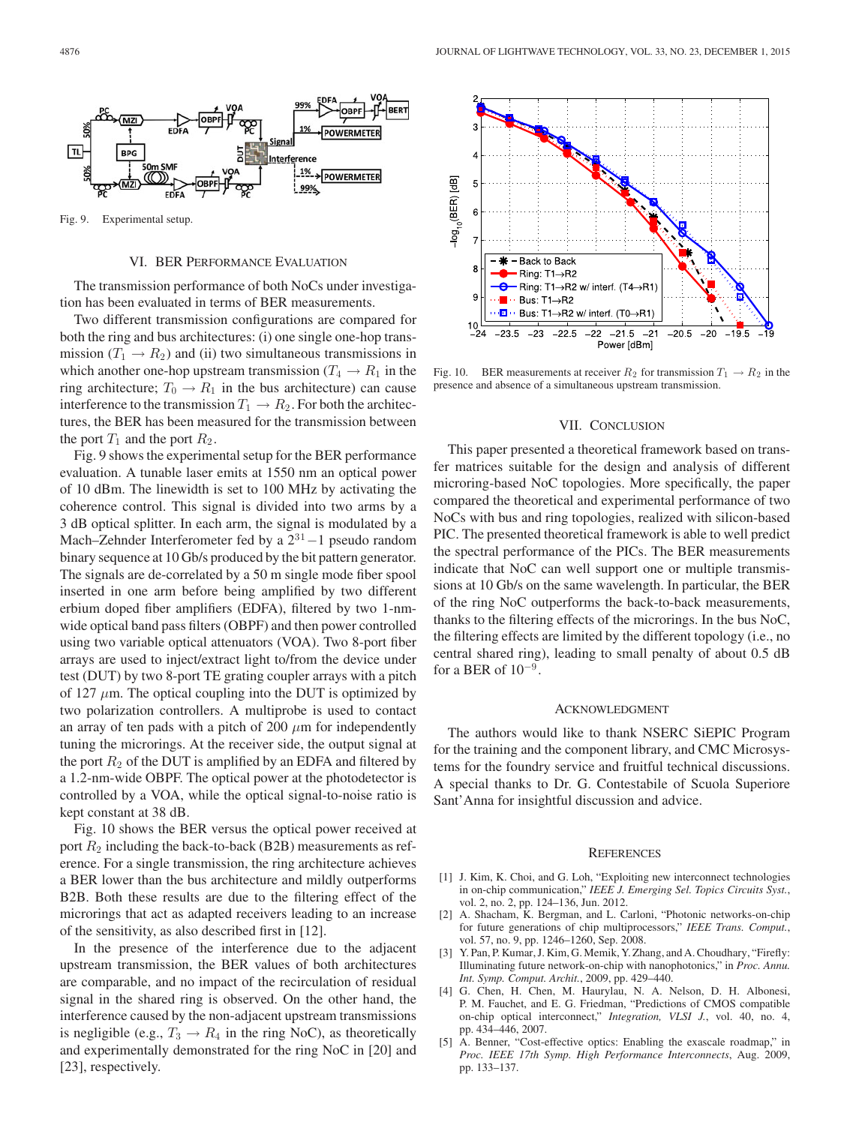

Fig. 9. Experimental setup.

#### VI. BER PERFORMANCE EVALUATION

The transmission performance of both NoCs under investigation has been evaluated in terms of BER measurements.

Two different transmission configurations are compared for both the ring and bus architectures: (i) one single one-hop transmission ( $T_1 \rightarrow R_2$ ) and (ii) two simultaneous transmissions in which another one-hop upstream transmission ( $T_4 \rightarrow R_1$  in the ring architecture;  $T_0 \rightarrow R_1$  in the bus architecture) can cause interference to the transmission  $T_1 \rightarrow R_2$ . For both the architectures, the BER has been measured for the transmission between the port  $T_1$  and the port  $R_2$ .

Fig. 9 shows the experimental setup for the BER performance evaluation. A tunable laser emits at 1550 nm an optical power of 10 dBm. The linewidth is set to 100 MHz by activating the coherence control. This signal is divided into two arms by a 3 dB optical splitter. In each arm, the signal is modulated by a Mach–Zehnder Interferometer fed by a 2<sup>31</sup>−1 pseudo random binary sequence at 10 Gb/s produced by the bit pattern generator. The signals are de-correlated by a 50 m single mode fiber spool inserted in one arm before being amplified by two different erbium doped fiber amplifiers (EDFA), filtered by two 1-nmwide optical band pass filters (OBPF) and then power controlled using two variable optical attenuators (VOA). Two 8-port fiber arrays are used to inject/extract light to/from the device under test (DUT) by two 8-port TE grating coupler arrays with a pitch of 127  $\mu$ m. The optical coupling into the DUT is optimized by two polarization controllers. A multiprobe is used to contact an array of ten pads with a pitch of 200  $\mu$ m for independently tuning the microrings. At the receiver side, the output signal at the port  $R_2$  of the DUT is amplified by an EDFA and filtered by a 1.2-nm-wide OBPF. The optical power at the photodetector is controlled by a VOA, while the optical signal-to-noise ratio is kept constant at 38 dB.

Fig. 10 shows the BER versus the optical power received at port  $R_2$  including the back-to-back (B2B) measurements as reference. For a single transmission, the ring architecture achieves a BER lower than the bus architecture and mildly outperforms B2B. Both these results are due to the filtering effect of the microrings that act as adapted receivers leading to an increase of the sensitivity, as also described first in [12].

In the presence of the interference due to the adjacent upstream transmission, the BER values of both architectures are comparable, and no impact of the recirculation of residual signal in the shared ring is observed. On the other hand, the interference caused by the non-adjacent upstream transmissions is negligible (e.g.,  $T_3 \rightarrow R_4$  in the ring NoC), as theoretically and experimentally demonstrated for the ring NoC in [20] and [23], respectively.



Fig. 10. BER measurements at receiver  $R_2$  for transmission  $T_1 \rightarrow R_2$  in the presence and absence of a simultaneous upstream transmission.

#### VII. CONCLUSION

This paper presented a theoretical framework based on transfer matrices suitable for the design and analysis of different microring-based NoC topologies. More specifically, the paper compared the theoretical and experimental performance of two NoCs with bus and ring topologies, realized with silicon-based PIC. The presented theoretical framework is able to well predict the spectral performance of the PICs. The BER measurements indicate that NoC can well support one or multiple transmissions at 10 Gb/s on the same wavelength. In particular, the BER of the ring NoC outperforms the back-to-back measurements, thanks to the filtering effects of the microrings. In the bus NoC, the filtering effects are limited by the different topology (i.e., no central shared ring), leading to small penalty of about 0.5 dB for a BER of  $10^{-9}$ .

## ACKNOWLEDGMENT

The authors would like to thank NSERC SiEPIC Program for the training and the component library, and CMC Microsystems for the foundry service and fruitful technical discussions. A special thanks to Dr. G. Contestabile of Scuola Superiore Sant'Anna for insightful discussion and advice.

#### **REFERENCES**

- [1] J. Kim, K. Choi, and G. Loh, "Exploiting new interconnect technologies in on-chip communication," *IEEE J. Emerging Sel. Topics Circuits Syst.*, vol. 2, no. 2, pp. 124–136, Jun. 2012.
- [2] A. Shacham, K. Bergman, and L. Carloni, "Photonic networks-on-chip for future generations of chip multiprocessors," *IEEE Trans. Comput.*, vol. 57, no. 9, pp. 1246–1260, Sep. 2008.
- [3] Y. Pan, P. Kumar, J. Kim, G. Memik, Y. Zhang, and A. Choudhary, "Firefly: Illuminating future network-on-chip with nanophotonics," in *Proc. Annu. Int. Symp. Comput. Archit.*, 2009, pp. 429–440.
- [4] G. Chen, H. Chen, M. Haurylau, N. A. Nelson, D. H. Albonesi, P. M. Fauchet, and E. G. Friedman, "Predictions of CMOS compatible on-chip optical interconnect," *Integration, VLSI J.*, vol. 40, no. 4, pp. 434–446, 2007.
- [5] A. Benner, "Cost-effective optics: Enabling the exascale roadmap," in *Proc. IEEE 17th Symp. High Performance Interconnects*, Aug. 2009, pp. 133–137.